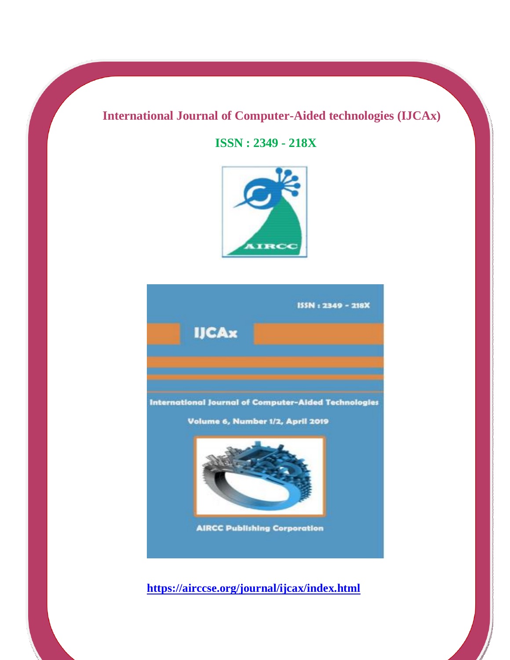## **International Journal of Computer-Aided technologies (IJCAx)**

**ISSN : 2349 - 218X**



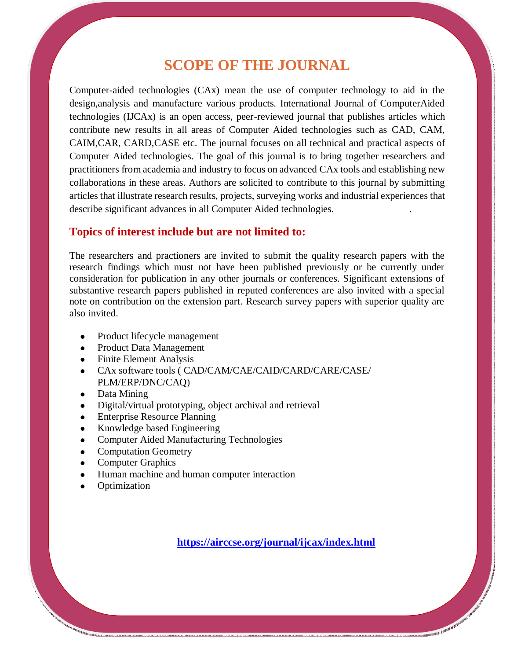## **SCOPE OF THE JOURNAL**

Computer-aided technologies (CAx) mean the use of computer technology to aid in the design,analysis and manufacture various products. International Journal of ComputerAided technologies (IJCAx) is an open access, peer-reviewed journal that publishes articles which contribute new results in all areas of Computer Aided technologies such as CAD, CAM, CAIM,CAR, CARD,CASE etc. The journal focuses on all technical and practical aspects of Computer Aided technologies. The goal of this journal is to bring together researchers and practitioners from academia and industry to focus on advanced CAx tools and establishing new collaborations in these areas. Authors are solicited to contribute to this journal by submitting articles that illustrate research results, projects, surveying works and industrial experiences that describe significant advances in all Computer Aided technologies. .

#### **Topics of interest include but are not limited to:**

The researchers and practioners are invited to submit the quality research papers with the research findings which must not have been published previously or be currently under consideration for publication in any other journals or conferences. Significant extensions of substantive research papers published in reputed conferences are also invited with a special note on contribution on the extension part. Research survey papers with superior quality are also invited.

- Product lifecycle management
- Product Data Management
- Finite Element Analysis
- CAx software tools ( CAD/CAM/CAE/CAID/CARD/CARE/CASE/ PLM/ERP/DNC/CAQ)
- Data Mining
- Digital/virtual prototyping, object archival and retrieval
- Enterprise Resource Planning
- Knowledge based Engineering
- Computer Aided Manufacturing Technologies
- Computation Geometry
- Computer Graphics
- Human machine and human computer interaction
- Optimization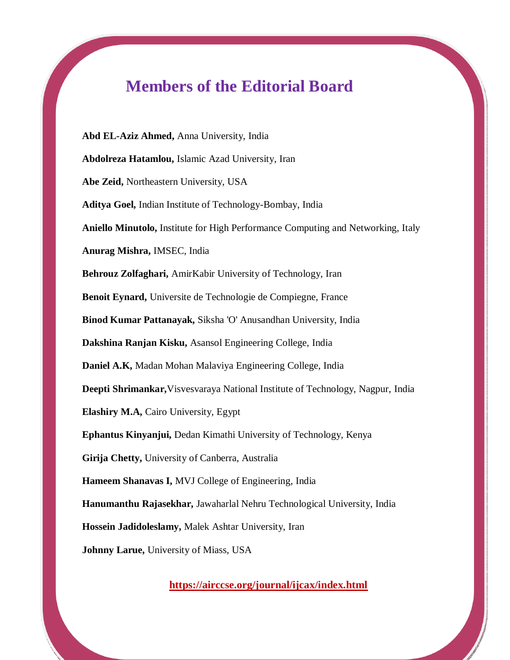# **Members of the Editorial Board**

**Abd EL-Aziz Ahmed,** Anna University, India **Abdolreza Hatamlou,** Islamic Azad University, Iran **Abe Zeid,** Northeastern University, USA **Aditya Goel,** Indian Institute of Technology-Bombay, India **Aniello Minutolo,** [Institute for High Performance Computing and Networking, Italy](https://airccse.org/journal/ijcax/index.html) **Anurag Mishra,** IMSEC, India **Behrouz Zolfaghari,** AmirKabir University of Technology, Iran **Benoit Eynard,** Universite de Technologie de Compiegne, France **Binod Kumar Pattanayak,** Siksha 'O' Anusandhan University, India **Dakshina Ranjan Kisku,** Asansol Engineering College, India **Daniel A.K,** Madan Mohan Malaviya Engineering College, India **Deepti Shrimankar,**Visvesvaraya National Institute of Technology, Nagpur, India **Elashiry M.A,** Cairo University, Egypt **Ephantus Kinyanjui,** Dedan Kimathi University of Technology, Kenya **Girija Chetty,** University of Canberra, Australia **Hameem Shanavas I,** MVJ College of Engineering, India **Hanumanthu Rajasekhar,** Jawaharlal Nehru Technological University, India **Hossein Jadidoleslamy,** Malek Ashtar University, Iran **Johnny Larue,** University of Miass, USA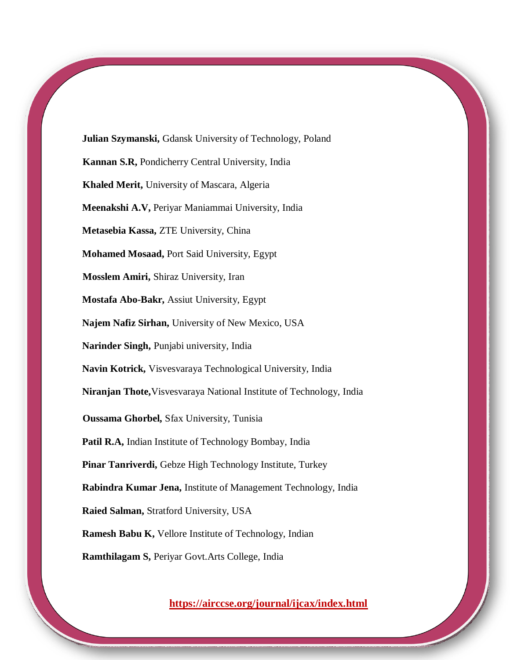**Julian Szymanski,** Gdansk University of Technology, Poland **Kannan S.R,** Pondicherry Central University, India **Khaled Merit,** University of Mascara, Algeria **Meenakshi A.V,** Periyar Maniammai University, India **Metasebia Kassa,** ZTE University, China **Mohamed Mosaad,** Port Said University, Egypt **Mosslem Amiri,** Shiraz University, Iran **Mostafa Abo-Bakr,** Assiut University, Egypt **Najem Nafiz Sirhan,** University of New Mexico, USA **Narinder Singh,** Punjabi university, India **Navin Kotrick,** Visvesvaraya Technological University, India **Niranjan Thote,**Visvesvaraya National Institute of Technology, India **Oussama Ghorbel,** Sfax University, Tunisia **Patil R.A,** Indian Institute of Technology Bombay, India **Pinar Tanriverdi,** Gebze High Technology Institute, Turkey **Rabindra Kumar Jena,** Institute of Management Technology, India **Raied Salman,** Stratford University, USA **Ramesh Babu K,** Vellore Institute of Technology, Indian **Ramthilagam S,** Periyar Govt.Arts College, India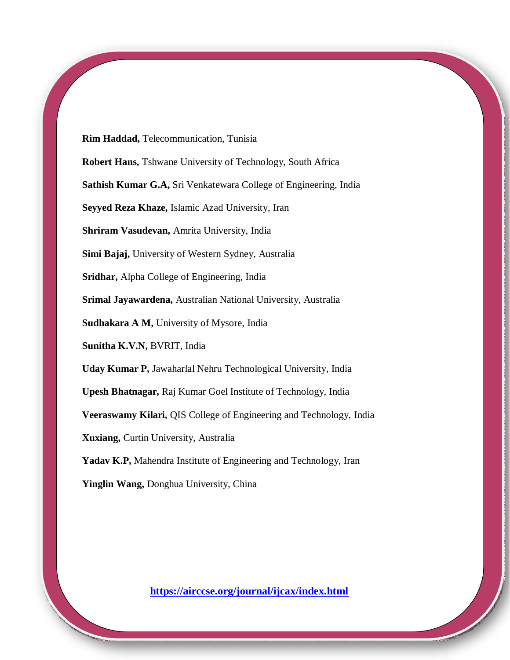**Rim Haddad,** Telecommunication, Tunisia

**Robert Hans,** Tshwane University of Technology, South Africa

**Sathish Kumar G.A,** Sri Venkatewara College of Engineering, India

**Seyyed Reza Khaze,** Islamic Azad University, Iran

**Shriram Vasudevan,** Amrita University, India

**Simi Bajaj,** University of Western Sydney, Australia

**Sridhar,** Alpha College of Engineering, India

**Srimal Jayawardena,** Australian National University, Australia

**Sudhakara A M,** University of Mysore, India

**Sunitha K.V.N,** BVRIT, India

**Uday Kumar P,** Jawaharlal Nehru Technological University, India

**Upesh Bhatnagar,** Raj Kumar Goel Institute of Technology, India

**Veeraswamy Kilari,** QIS College of Engineering and Technology, India

**Xuxiang,** Curtin University, Australia

Yadav K.P, Mahendra Institute of Engineering and Technology, Iran

**Yinglin Wang,** Donghua University, China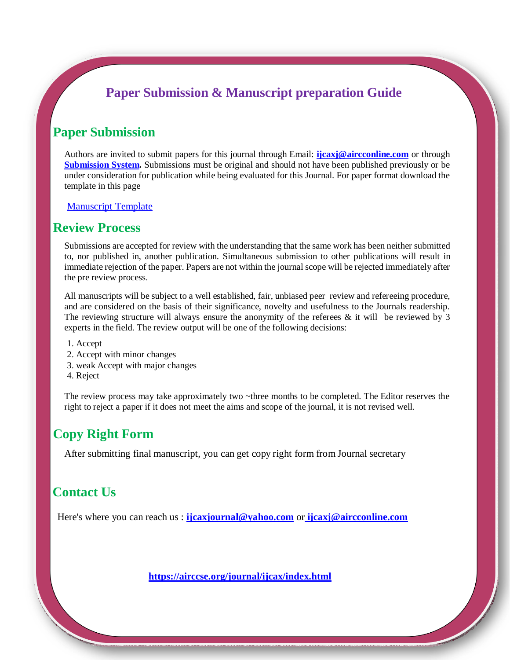## **Paper Submission & Manuscript preparation Guide**

## **Paper Submission**

Authors are invited to submit papers for this journal through Email: **[ijcaxj@aircconline.com](mailto:ijcaxj@aircconline.com)** or through **[Submission System.](https://coneco2009.com/submissions/imagination/home.html)** Submissions must be original and should not have been published previously or be under consideration for publication while being evaluated for this Journal. For paper format download the template in this page

[Manuscript Template](https://airccse.org/journal/aircc_template.doc)

#### **Review Process**

Submissions are accepted for review with the understanding that the same work has been neither submitted to, nor published in, another publication. Simultaneous submission to other publications will result in immediate rejection of the paper. Papers are not within the journal scope will be rejected immediately after the pre review process.

All manuscripts will be subject to a well established, fair, unbiased peer review and refereeing procedure, and are considered on the basis of their significance, novelty and usefulness to the Journals readership. The reviewing structure will always ensure the anonymity of the referees  $\&$  it will be reviewed by 3 experts in the field. The review output will be one of the following decisions:

- 1. Accept
- 2. Accept with minor changes
- 3. weak Accept with major changes
- 4. Reject

The review process may take approximately two ~three months to be completed. The Editor reserves the right to reject a paper if it does not meet the aims and scope of the journal, it is not revised well.

## **Copy Right Form**

After submitting final manuscript, you can get copy right form from Journal secretary

## **Contact Us**

Here's where you can reach us : **<ijcaxjournal@yahoo.com>** or **[ijcaxj@aircconline.com](%20ijcaxj@aircconline.com)**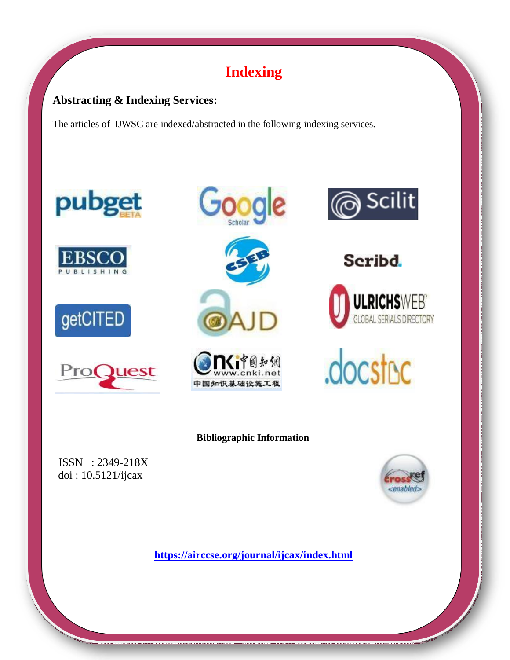# **Indexing**

#### **Abstracting & Indexing Services:**

The articles of IJWSC are indexed/abstracted in the following indexing services.









Google







Seribd.





#### **Bibliographic Information**

ISSN : 2349-218X doi : 10.5121/ijcax